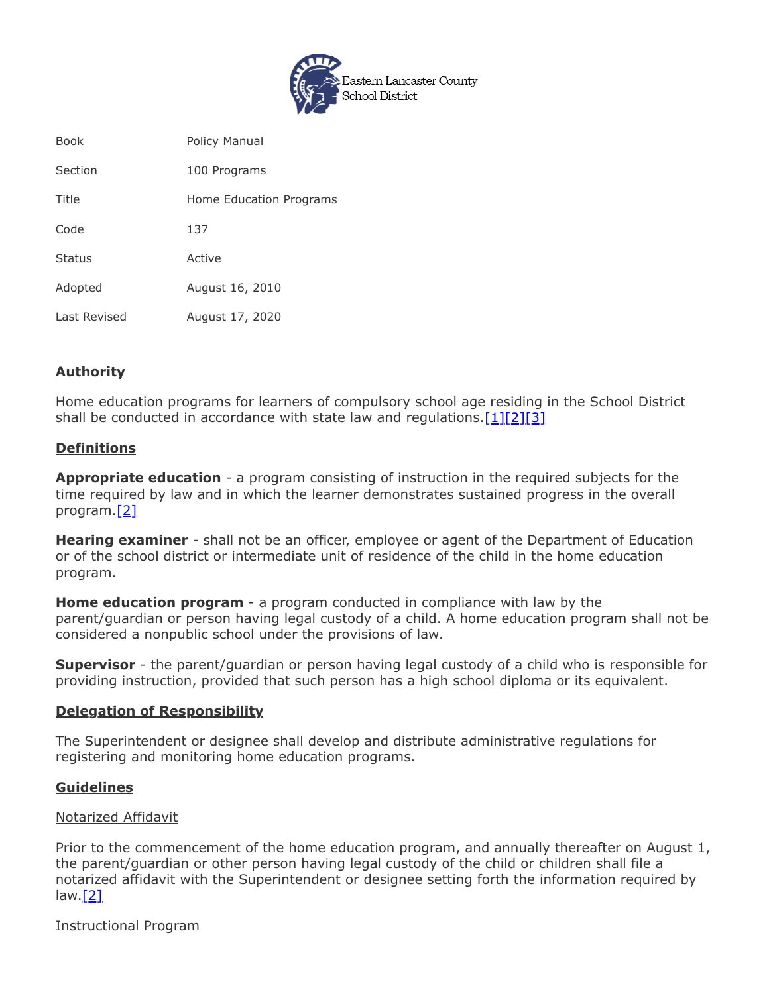

| <b>Book</b>   | Policy Manual           |
|---------------|-------------------------|
| Section       | 100 Programs            |
| Title         | Home Education Programs |
| Code          | 137                     |
| <b>Status</b> | Active                  |
| Adopted       | August 16, 2010         |
| Last Revised  | August 17, 2020         |

# **Authority**

Home education programs for learners of compulsory school age residing in the School District shall be conducted in accordance with state law and regulations.  $[1][2][3]$  $[1][2][3]$  $[1][2][3]$ 

# **Definitions**

**Appropriate education** - a program consisting of instruction in the required subjects for the time required by law and in which the learner demonstrates sustained progress in the overall program.[\[2\]](http://www.legis.state.pa.us/cfdocs/legis/LI/uconsCheck.cfm?txtType=HTM&yr=1949&sessInd=0&smthLwInd=0&act=14&chpt=13&sctn=27&subsctn=1)

**Hearing examiner** - shall not be an officer, employee or agent of the Department of Education or of the school district or intermediate unit of residence of the child in the home education program.

**Home education program** - a program conducted in compliance with law by the parent/guardian or person having legal custody of a child. A home education program shall not be considered a nonpublic school under the provisions of law.

**Supervisor** - the parent/guardian or person having legal custody of a child who is responsible for providing instruction, provided that such person has a high school diploma or its equivalent.

## **Delegation of Responsibility**

The Superintendent or designee shall develop and distribute administrative regulations for registering and monitoring home education programs.

## **Guidelines**

## Notarized Affidavit

Prior to the commencement of the home education program, and annually thereafter on August 1, the parent/guardian or other person having legal custody of the child or children shall file a notarized affidavit with the Superintendent or designee setting forth the information required by law. $[2]$ 

#### Instructional Program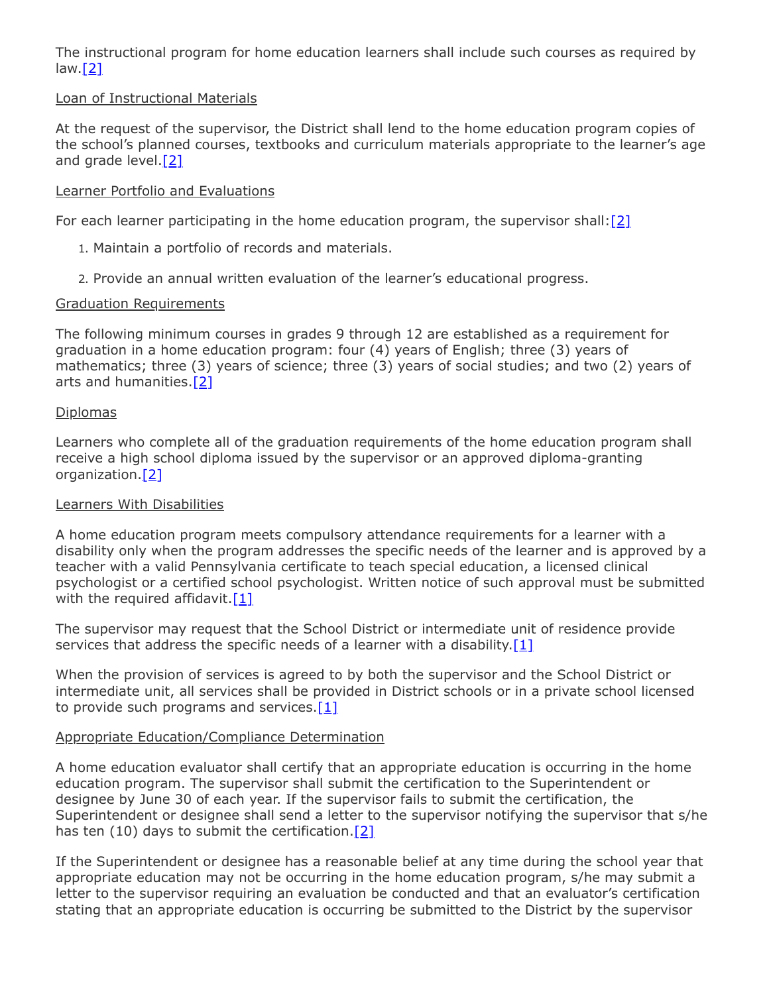The instructional program for home education learners shall include such courses as required by  $law.[2]$  $law.[2]$ 

# Loan of Instructional Materials

At the request of the supervisor, the District shall lend to the home education program copies of the school's planned courses, textbooks and curriculum materials appropriate to the learner's age and grade level.<sup>[2]</sup>

## Learner Portfolio and Evaluations

For each learner participating in the home education program, the supervisor shall: $[2]$ 

- 1. Maintain a portfolio of records and materials.
- 2. Provide an annual written evaluation of the learner's educational progress.

## Graduation Requirements

The following minimum courses in grades 9 through 12 are established as a requirement for graduation in a home education program: four (4) years of English; three (3) years of mathematics; three (3) years of science; three (3) years of social studies; and two (2) years of arts and humanities.[\[2\]](http://www.legis.state.pa.us/cfdocs/legis/LI/uconsCheck.cfm?txtType=HTM&yr=1949&sessInd=0&smthLwInd=0&act=14&chpt=13&sctn=27&subsctn=1)

## Diplomas

Learners who complete all of the graduation requirements of the home education program shall receive a high school diploma issued by the supervisor or an approved diploma-granting organization[.\[2\]](http://www.legis.state.pa.us/cfdocs/legis/LI/uconsCheck.cfm?txtType=HTM&yr=1949&sessInd=0&smthLwInd=0&act=14&chpt=13&sctn=27&subsctn=1)

#### Learners With Disabilities

A home education program meets compulsory attendance requirements for a learner with a disability only when the program addresses the specific needs of the learner and is approved by a teacher with a valid Pennsylvania certificate to teach special education, a licensed clinical psychologist or a certified school psychologist. Written notice of such approval must be submitted with the required affidavit. $[1]$ 

The supervisor may request that the School District or intermediate unit of residence provide services that address the specific needs of a learner with a disability.<sup>[1]</sup>

When the provision of services is agreed to by both the supervisor and the School District or intermediate unit, all services shall be provided in District schools or in a private school licensed to provide such programs and services.<sup>[\[1\]](http://www.legis.state.pa.us/cfdocs/legis/LI/uconsCheck.cfm?txtType=HTM&yr=1949&sessInd=0&smthLwInd=0&act=14&chpt=13&sctn=27&subsctn=0)</sup>

## Appropriate Education/Compliance Determination

A home education evaluator shall certify that an appropriate education is occurring in the home education program. The supervisor shall submit the certification to the Superintendent or designee by June 30 of each year. If the supervisor fails to submit the certification, the Superintendent or designee shall send a letter to the supervisor notifying the supervisor that s/he has ten (10) days to submit the certification.<sup>[\[2\]](http://www.legis.state.pa.us/cfdocs/legis/LI/uconsCheck.cfm?txtType=HTM&yr=1949&sessInd=0&smthLwInd=0&act=14&chpt=13&sctn=27&subsctn=1)</sup>

If the Superintendent or designee has a reasonable belief at any time during the school year that appropriate education may not be occurring in the home education program, s/he may submit a letter to the supervisor requiring an evaluation be conducted and that an evaluator's certification stating that an appropriate education is occurring be submitted to the District by the supervisor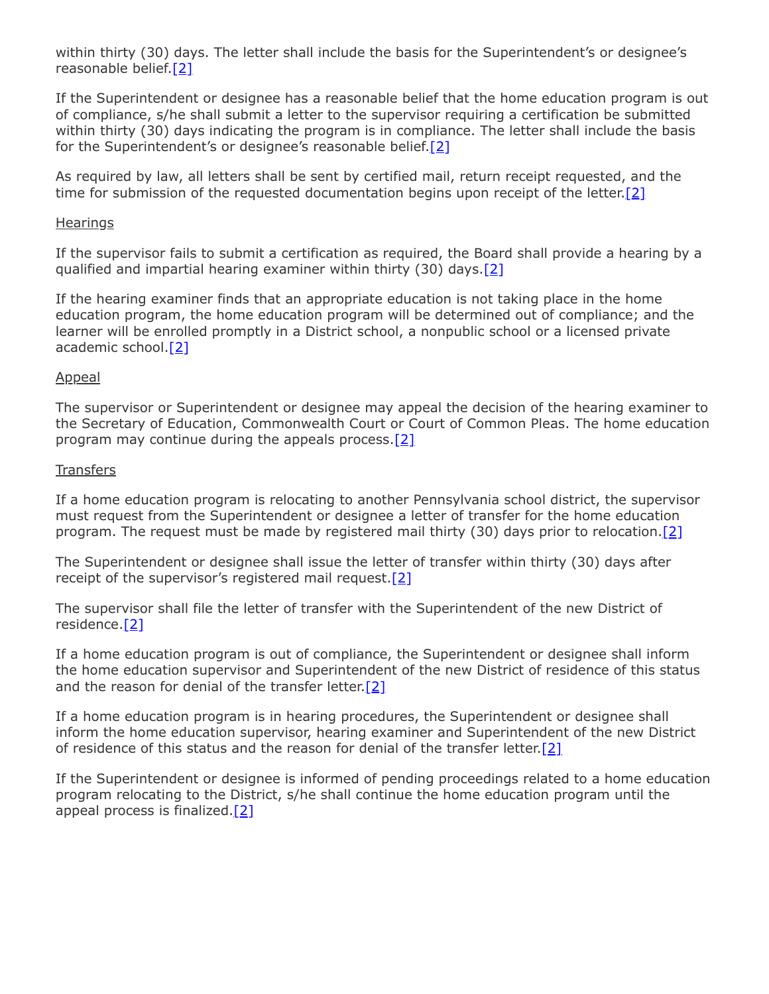within thirty (30) days. The letter shall include the basis for the Superintendent's or designee's reasonable belief.<sup>[2]</sup>

If the Superintendent or designee has a reasonable belief that the home education program is out of compliance, s/he shall submit a letter to the supervisor requiring a certification be submitted within thirty (30) days indicating the program is in compliance. The letter shall include the basis for the Superintendent's or designee's reasonable belief[.\[2\]](http://www.legis.state.pa.us/cfdocs/legis/LI/uconsCheck.cfm?txtType=HTM&yr=1949&sessInd=0&smthLwInd=0&act=14&chpt=13&sctn=27&subsctn=1)

As required by law, all letters shall be sent by certified mail, return receipt requested, and the time for submission of the requested documentation begins upon receipt of the letter.<sup>[2]</sup>

#### **Hearings**

If the supervisor fails to submit a certification as required, the Board shall provide a hearing by a qualified and impartial hearing examiner within thirty (30) days.<sup>[2]</sup>

If the hearing examiner finds that an appropriate education is not taking place in the home education program, the home education program will be determined out of compliance; and the learner will be enrolled promptly in a District school, a nonpublic school or a licensed private academic school.<sup>[2]</sup>

#### Appeal

The supervisor or Superintendent or designee may appeal the decision of the hearing examiner to the Secretary of Education, Commonwealth Court or Court of Common Pleas. The home education program may continue during the appeals process.[\[2\]](http://www.legis.state.pa.us/cfdocs/legis/LI/uconsCheck.cfm?txtType=HTM&yr=1949&sessInd=0&smthLwInd=0&act=14&chpt=13&sctn=27&subsctn=1)

#### **Transfers**

If a home education program is relocating to another Pennsylvania school district, the supervisor must request from the Superintendent or designee a letter of transfer for the home education program. The request must be made by registered mail thirty (30) days prior to relocation. [\[2\]](http://www.legis.state.pa.us/cfdocs/legis/LI/uconsCheck.cfm?txtType=HTM&yr=1949&sessInd=0&smthLwInd=0&act=14&chpt=13&sctn=27&subsctn=1)

The Superintendent or designee shall issue the letter of transfer within thirty (30) days after receipt of the supervisor's registered mail request. $[2]$ 

The supervisor shall file the letter of transfer with the Superintendent of the new District of residence[.\[2\]](http://www.legis.state.pa.us/cfdocs/legis/LI/uconsCheck.cfm?txtType=HTM&yr=1949&sessInd=0&smthLwInd=0&act=14&chpt=13&sctn=27&subsctn=1)

If a home education program is out of compliance, the Superintendent or designee shall inform the home education supervisor and Superintendent of the new District of residence of this status and the reason for denial of the transfer letter.<sup>[\[2\]](http://www.legis.state.pa.us/cfdocs/legis/LI/uconsCheck.cfm?txtType=HTM&yr=1949&sessInd=0&smthLwInd=0&act=14&chpt=13&sctn=27&subsctn=1)</sup>

If a home education program is in hearing procedures, the Superintendent or designee shall inform the home education supervisor, hearing examiner and Superintendent of the new District of residence of this status and the reason for denial of the transfer letter.[\[2\]](http://www.legis.state.pa.us/cfdocs/legis/LI/uconsCheck.cfm?txtType=HTM&yr=1949&sessInd=0&smthLwInd=0&act=14&chpt=13&sctn=27&subsctn=1)

If the Superintendent or designee is informed of pending proceedings related to a home education program relocating to the District, s/he shall continue the home education program until the appeal process is finalized[.\[2\]](http://www.legis.state.pa.us/cfdocs/legis/LI/uconsCheck.cfm?txtType=HTM&yr=1949&sessInd=0&smthLwInd=0&act=14&chpt=13&sctn=27&subsctn=1)